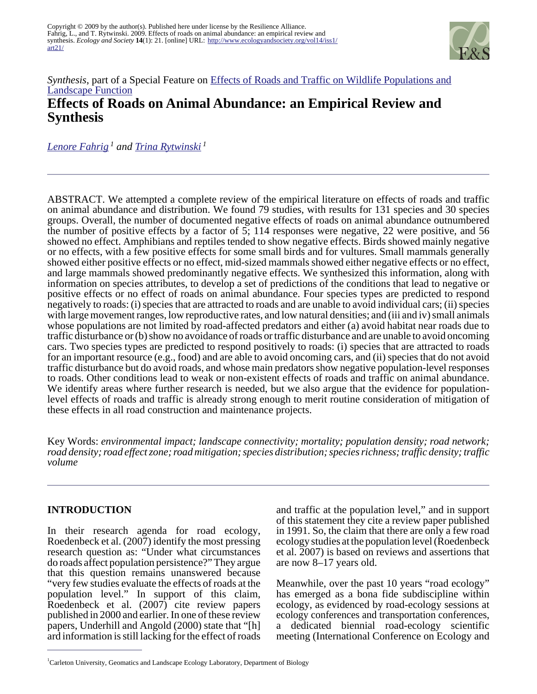

# *Synthesis*, part of a Special Feature on [Effects of Roads and Traffic on Wildlife Populations and](http://www.ecologyandsociety.org/viewissue.php?sf=41) [Landscape Function](http://www.ecologyandsociety.org/viewissue.php?sf=41) **Effects of Roads on Animal Abundance: an Empirical Review and Synthesis**

*[Lenore Fahrig](mailto:lfahrig@ccs.carleton.ca)<sup>1</sup> and [Trina Rytwinski](mailto:trytwins@connect.carleton.ca)<sup>1</sup>*

ABSTRACT. We attempted a complete review of the empirical literature on effects of roads and traffic on animal abundance and distribution. We found 79 studies, with results for 131 species and 30 species groups. Overall, the number of documented negative effects of roads on animal abundance outnumbered the number of positive effects by a factor of 5; 114 responses were negative, 22 were positive, and 56 showed no effect. Amphibians and reptiles tended to show negative effects. Birds showed mainly negative or no effects, with a few positive effects for some small birds and for vultures. Small mammals generally showed either positive effects or no effect, mid-sized mammals showed either negative effects or no effect, and large mammals showed predominantly negative effects. We synthesized this information, along with information on species attributes, to develop a set of predictions of the conditions that lead to negative or positive effects or no effect of roads on animal abundance. Four species types are predicted to respond negatively to roads: (i) species that are attracted to roads and are unable to avoid individual cars; (ii) species with large movement ranges, low reproductive rates, and low natural densities; and (iii and iv) small animals whose populations are not limited by road-affected predators and either (a) avoid habitat near roads due to traffic disturbance or (b) show no avoidance of roads or traffic disturbance and are unable to avoid oncoming cars. Two species types are predicted to respond positively to roads: (i) species that are attracted to roads for an important resource (e.g., food) and are able to avoid oncoming cars, and (ii) species that do not avoid traffic disturbance but do avoid roads, and whose main predators show negative population-level responses to roads. Other conditions lead to weak or non-existent effects of roads and traffic on animal abundance. We identify areas where further research is needed, but we also argue that the evidence for populationlevel effects of roads and traffic is already strong enough to merit routine consideration of mitigation of these effects in all road construction and maintenance projects.

Key Words: *environmental impact; landscape connectivity; mortality; population density; road network; road density; road effect zone; road mitigation; species distribution; species richness; traffic density; traffic volume*

## **INTRODUCTION**

In their research agenda for road ecology, Roedenbeck et al. (2007) identify the most pressing research question as: "Under what circumstances do roads affect population persistence?" They argue that this question remains unanswered because "very few studies evaluate the effects of roads at the population level." In support of this claim, Roedenbeck et al. (2007) cite review papers published in 2000 and earlier. In one of these review papers, Underhill and Angold (2000) state that "[h] ard information is still lacking for the effect of roads

and traffic at the population level," and in support of this statement they cite a review paper published in 1991. So, the claim that there are only a few road ecology studies at the population level (Roedenbeck et al. 2007) is based on reviews and assertions that are now 8–17 years old.

Meanwhile, over the past 10 years "road ecology" has emerged as a bona fide subdiscipline within ecology, as evidenced by road-ecology sessions at ecology conferences and transportation conferences, a dedicated biennial road-ecology scientific meeting (International Conference on Ecology and

<sup>1</sup>Carleton University, Geomatics and Landscape Ecology Laboratory, Department of Biology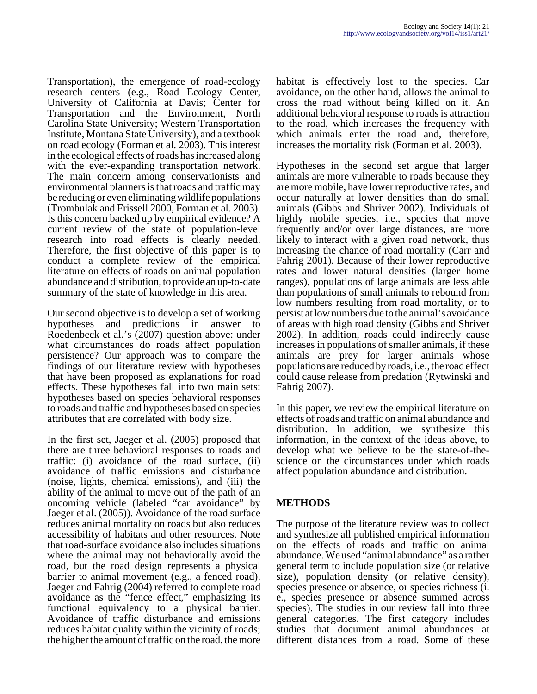Transportation), the emergence of road-ecology research centers (e.g., Road Ecology Center, University of California at Davis; Center for Transportation and the Environment, North Carolina State University; Western Transportation Institute, Montana State University), and a textbook on road ecology (Forman et al. 2003). This interest in the ecological effects of roads has increased along with the ever-expanding transportation network. The main concern among conservationists and environmental planners is that roads and traffic may be reducing or even eliminating wildlife populations (Trombulak and Frissell 2000, Forman et al. 2003). Is this concern backed up by empirical evidence? A current review of the state of population-level research into road effects is clearly needed. Therefore, the first objective of this paper is to conduct a complete review of the empirical literature on effects of roads on animal population abundance and distribution, to provide an up-to-date summary of the state of knowledge in this area.

Our second objective is to develop a set of working hypotheses and predictions in answer to Roedenbeck et al.'s (2007) question above: under what circumstances do roads affect population persistence? Our approach was to compare the findings of our literature review with hypotheses that have been proposed as explanations for road effects. These hypotheses fall into two main sets: hypotheses based on species behavioral responses to roads and traffic and hypotheses based on species attributes that are correlated with body size.

In the first set, Jaeger et al. (2005) proposed that there are three behavioral responses to roads and traffic: (i) avoidance of the road surface, (ii) avoidance of traffic emissions and disturbance (noise, lights, chemical emissions), and (iii) the ability of the animal to move out of the path of an oncoming vehicle (labeled "car avoidance" by Jaeger et al. (2005)). Avoidance of the road surface reduces animal mortality on roads but also reduces accessibility of habitats and other resources. Note that road-surface avoidance also includes situations where the animal may not behaviorally avoid the road, but the road design represents a physical barrier to animal movement (e.g., a fenced road). Jaeger and Fahrig (2004) referred to complete road avoidance as the "fence effect," emphasizing its functional equivalency to a physical barrier. Avoidance of traffic disturbance and emissions reduces habitat quality within the vicinity of roads; the higher the amount of traffic on the road, the more

habitat is effectively lost to the species. Car avoidance, on the other hand, allows the animal to cross the road without being killed on it. An additional behavioral response to roads is attraction to the road, which increases the frequency with which animals enter the road and, therefore, increases the mortality risk (Forman et al. 2003).

Hypotheses in the second set argue that larger animals are more vulnerable to roads because they are more mobile, have lower reproductive rates, and occur naturally at lower densities than do small animals (Gibbs and Shriver 2002). Individuals of highly mobile species, *i.e.*, species that move frequently and/or over large distances, are more likely to interact with a given road network, thus increasing the chance of road mortality (Carr and Fahrig 2001). Because of their lower reproductive rates and lower natural densities (larger home ranges), populations of large animals are less able than populations of small animals to rebound from low numbers resulting from road mortality, or to persist at low numbers due to the animal's avoidance of areas with high road density (Gibbs and Shriver 2002). In addition, roads could indirectly cause increases in populations of smaller animals, if these animals are prey for larger animals whose populations are reduced by roads, i.e., the road effect could cause release from predation (Rytwinski and Fahrig 2007).

In this paper, we review the empirical literature on effects of roads and traffic on animal abundance and distribution. In addition, we synthesize this information, in the context of the ideas above, to develop what we believe to be the state-of-thescience on the circumstances under which roads affect population abundance and distribution.

## **METHODS**

The purpose of the literature review was to collect and synthesize all published empirical information on the effects of roads and traffic on animal abundance. We used "animal abundance" as a rather general term to include population size (or relative size), population density (or relative density), species presence or absence, or species richness (i. e., species presence or absence summed across species). The studies in our review fall into three general categories. The first category includes studies that document animal abundances at different distances from a road. Some of these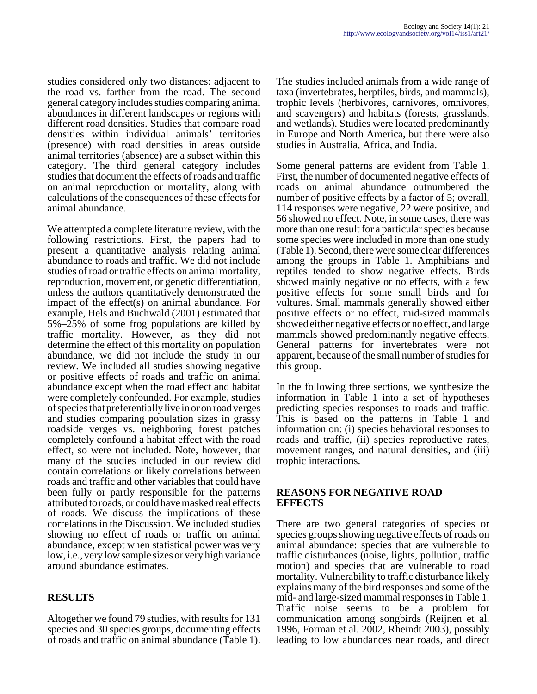studies considered only two distances: adjacent to the road vs. farther from the road. The second general category includes studies comparing animal abundances in different landscapes or regions with different road densities. Studies that compare road densities within individual animals' territories (presence) with road densities in areas outside animal territories (absence) are a subset within this category. The third general category includes studies that document the effects of roads and traffic on animal reproduction or mortality, along with calculations of the consequences of these effects for animal abundance.

We attempted a complete literature review, with the following restrictions. First, the papers had to present a quantitative analysis relating animal abundance to roads and traffic. We did not include studies of road or traffic effects on animal mortality, reproduction, movement, or genetic differentiation, unless the authors quantitatively demonstrated the impact of the effect(s) on animal abundance. For example, Hels and Buchwald (2001) estimated that 5%–25% of some frog populations are killed by traffic mortality. However, as they did not determine the effect of this mortality on population abundance, we did not include the study in our review. We included all studies showing negative or positive effects of roads and traffic on animal abundance except when the road effect and habitat were completely confounded. For example, studies of species that preferentially live in or on road verges and studies comparing population sizes in grassy roadside verges vs. neighboring forest patches completely confound a habitat effect with the road effect, so were not included. Note, however, that many of the studies included in our review did contain correlations or likely correlations between roads and traffic and other variables that could have been fully or partly responsible for the patterns attributed to roads, or could have masked real effects of roads. We discuss the implications of these correlations in the Discussion. We included studies showing no effect of roads or traffic on animal abundance, except when statistical power was very low, i.e., very low sample sizes or very high variance around abundance estimates.

## **RESULTS**

Altogether we found 79 studies, with results for 131 species and 30 species groups, documenting effects of roads and traffic on animal abundance (Table 1). The studies included animals from a wide range of taxa (invertebrates, herptiles, birds, and mammals), trophic levels (herbivores, carnivores, omnivores, and scavengers) and habitats (forests, grasslands, and wetlands). Studies were located predominantly in Europe and North America, but there were also studies in Australia, Africa, and India.

Some general patterns are evident from Table 1. First, the number of documented negative effects of roads on animal abundance outnumbered the number of positive effects by a factor of 5; overall, 114 responses were negative, 22 were positive, and 56 showed no effect. Note, in some cases, there was more than one result for a particular species because some species were included in more than one study (Table 1). Second, there were some clear differences among the groups in Table 1. Amphibians and reptiles tended to show negative effects. Birds showed mainly negative or no effects, with a few positive effects for some small birds and for vultures. Small mammals generally showed either positive effects or no effect, mid-sized mammals showed either negative effects or no effect, and large mammals showed predominantly negative effects. General patterns for invertebrates were not apparent, because of the small number of studies for this group.

In the following three sections, we synthesize the information in Table 1 into a set of hypotheses predicting species responses to roads and traffic. This is based on the patterns in Table 1 and information on: (i) species behavioral responses to roads and traffic, (ii) species reproductive rates, movement ranges, and natural densities, and (iii) trophic interactions.

### **REASONS FOR NEGATIVE ROAD EFFECTS**

There are two general categories of species or species groups showing negative effects of roads on animal abundance: species that are vulnerable to traffic disturbances (noise, lights, pollution, traffic motion) and species that are vulnerable to road mortality. Vulnerability to traffic disturbance likely explains many of the bird responses and some of the mid- and large-sized mammal responses in Table 1. Traffic noise seems to be a problem for communication among songbirds (Reijnen et al. 1996, Forman et al. 2002, Rheindt 2003), possibly leading to low abundances near roads, and direct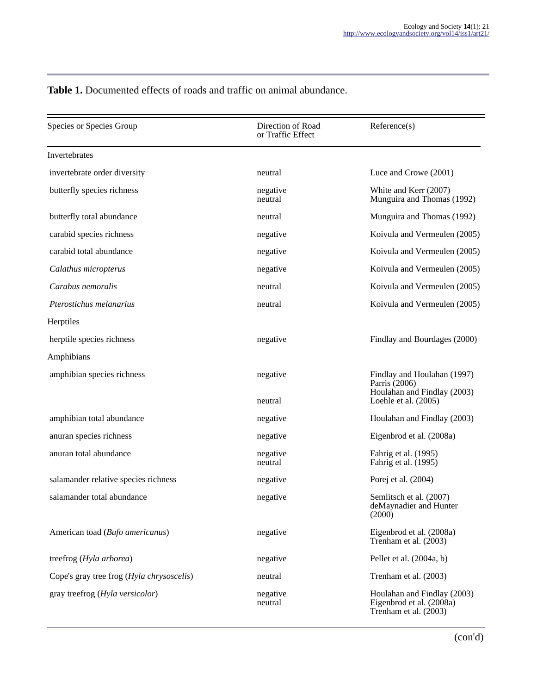| Species or Species Group                  | Direction of Road<br>or Traffic Effect | Reference(s)                                                                     |
|-------------------------------------------|----------------------------------------|----------------------------------------------------------------------------------|
| Invertebrates                             |                                        |                                                                                  |
| invertebrate order diversity              | neutral                                | Luce and Crowe (2001)                                                            |
| butterfly species richness                | negative<br>neutral                    | White and Kerr (2007)<br>Munguira and Thomas (1992)                              |
| butterfly total abundance                 | neutral                                | Munguira and Thomas (1992)                                                       |
| carabid species richness                  | negative                               | Koivula and Vermeulen (2005)                                                     |
| carabid total abundance                   | negative                               | Koivula and Vermeulen (2005)                                                     |
| Calathus micropterus                      | negative                               | Koivula and Vermeulen (2005)                                                     |
| Carabus nemoralis                         | neutral                                | Koivula and Vermeulen (2005)                                                     |
| Pterostichus melanarius                   | neutral                                | Koivula and Vermeulen (2005)                                                     |
| Herptiles                                 |                                        |                                                                                  |
| herptile species richness                 | negative                               | Findlay and Bourdages (2000)                                                     |
| Amphibians                                |                                        |                                                                                  |
| amphibian species richness                | negative                               | Findlay and Houlahan (1997)<br>Parris (2006)<br>Houlahan and Findlay (2003)      |
|                                           | neutral                                | Loehle et al. (2005)                                                             |
| amphibian total abundance                 | negative                               | Houlahan and Findlay (2003)                                                      |
| anuran species richness                   | negative                               | Eigenbrod et al. (2008a)                                                         |
| anuran total abundance                    | negative<br>neutral                    | Fahrig et al. (1995)<br>Fahrig et al. (1995)                                     |
| salamander relative species richness      | negative                               | Porej et al. (2004)                                                              |
| salamander total abundance                | negative                               | Semlitsch et al. (2007)<br>deMaynadier and Hunter<br>(2000)                      |
| American toad (Bufo americanus)           | negative                               | Eigenbrod et al. (2008a)<br>Trenham et al. (2003)                                |
| treefrog (Hyla arborea)                   | negative                               | Pellet et al. (2004a, b)                                                         |
| Cope's gray tree frog (Hyla chrysoscelis) | neutral                                | Trenham et al. (2003)                                                            |
| gray treefrog (Hyla versicolor)           | negative<br>neutral                    | Houlahan and Findlay (2003)<br>Eigenbrod et al. (2008a)<br>Trenham et al. (2003) |

# **Table 1.** Documented effects of roads and traffic on animal abundance.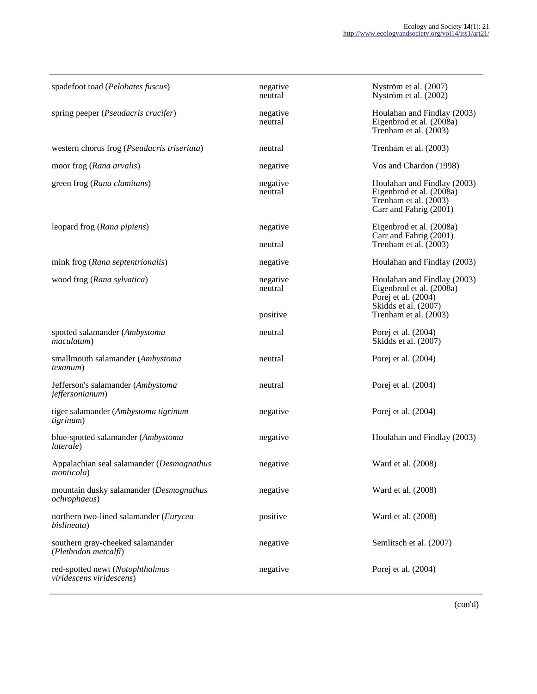| spadefoot toad (Pelobates fuscus)                               | negative<br>neutral | Nyström et al. (2007)<br>Nyström et al. (2002)                                                             |
|-----------------------------------------------------------------|---------------------|------------------------------------------------------------------------------------------------------------|
| spring peeper ( <i>Pseudacris crucifer</i> )                    | negative<br>neutral | Houlahan and Findlay (2003)<br>Eigenbrod et al. (2008a)<br>Trenham et al. (2003)                           |
| western chorus frog (Pseudacris triseriata)                     | neutral             | Trenham et al. (2003)                                                                                      |
| moor frog (Rana arvalis)                                        | negative            | Vos and Chardon (1998)                                                                                     |
| green frog (Rana clamitans)                                     | negative<br>neutral | Houlahan and Findlay (2003)<br>Eigenbrod et al. (2008a)<br>Trenham et al. (2003)<br>Carr and Fahrig (2001) |
| leopard frog (Rana pipiens)                                     | negative            | Eigenbrod et al. (2008a)<br>Carr and Fahrig (2001)                                                         |
|                                                                 | neutral             | Trenham et al. $(2003)$                                                                                    |
| mink frog (Rana septentrionalis)                                | negative            | Houlahan and Findlay (2003)                                                                                |
| wood frog (Rana sylvatica)                                      | negative<br>neutral | Houlahan and Findlay (2003)<br>Eigenbrod et al. (2008a)<br>Porej et al. (2004)<br>Skidds et al. (2007)     |
|                                                                 | positive            | Trenham et al. (2003)                                                                                      |
| spotted salamander (Ambystoma<br>maculatum)                     | neutral             | Porej et al. (2004)<br>Skidds et al. (2007)                                                                |
| smallmouth salamander (Ambystoma<br><i>texanum</i> )            | neutral             | Porej et al. (2004)                                                                                        |
| Jefferson's salamander (Ambystoma<br><i>jeffersonianum</i> )    | neutral             | Porej et al. (2004)                                                                                        |
| tiger salamander (Ambystoma tigrinum<br><i>tigrinum</i> )       | negative            | Porej et al. (2004)                                                                                        |
| blue-spotted salamander (Ambystoma<br>laterale)                 | negative            | Houlahan and Findlay (2003)                                                                                |
| Appalachian seal salamander (Desmognathus<br><i>monticola</i> ) | negative            | Ward et al. (2008)                                                                                         |
| mountain dusky salamander (Desmognathus<br><i>ochrophaeus</i> ) | negative            | Ward et al. (2008)                                                                                         |
| northern two-lined salamander (Eurycea<br>bislineata)           | positive            | Ward et al. (2008)                                                                                         |
| southern gray-cheeked salamander<br>(Plethodon metcalfi)        | negative            | Semlitsch et al. (2007)                                                                                    |
| red-spotted newt (Notophthalmus<br>viridescens viridescens)     | negative            | Porej et al. (2004)                                                                                        |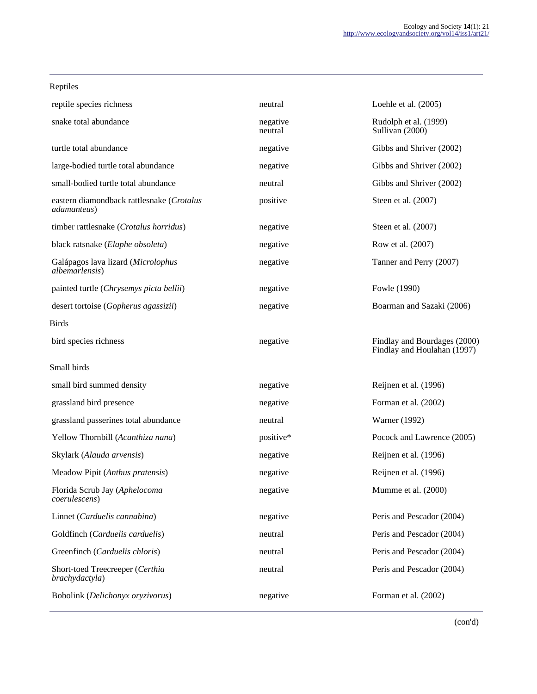| Rentue |
|--------|
|--------|

| reptile species richness                                         | neutral             | Loehle et al. $(2005)$                                      |
|------------------------------------------------------------------|---------------------|-------------------------------------------------------------|
| snake total abundance                                            | negative<br>neutral | Rudolph et al. (1999)<br>Sullivan (2000)                    |
| turtle total abundance                                           | negative            | Gibbs and Shriver (2002)                                    |
| large-bodied turtle total abundance                              | negative            | Gibbs and Shriver (2002)                                    |
| small-bodied turtle total abundance                              | neutral             | Gibbs and Shriver (2002)                                    |
| eastern diamondback rattlesnake (Crotalus<br><i>adamanteus</i> ) | positive            | Steen et al. (2007)                                         |
| timber rattlesnake (Crotalus horridus)                           | negative            | Steen et al. (2007)                                         |
| black ratsnake (Elaphe obsoleta)                                 | negative            | Row et al. (2007)                                           |
| Galápagos lava lizard (Microlophus<br><i>albemarlensis</i> )     | negative            | Tanner and Perry (2007)                                     |
| painted turtle (Chrysemys picta bellii)                          | negative            | Fowle (1990)                                                |
| desert tortoise (Gopherus agassizii)                             | negative            | Boarman and Sazaki (2006)                                   |
| <b>Birds</b>                                                     |                     |                                                             |
| bird species richness                                            | negative            | Findlay and Bourdages (2000)<br>Findlay and Houlahan (1997) |
| Small birds                                                      |                     |                                                             |
| small bird summed density                                        | negative            | Reijnen et al. (1996)                                       |
| grassland bird presence                                          | negative            | Forman et al. (2002)                                        |
| grassland passerines total abundance                             | neutral             | Warner (1992)                                               |
| Yellow Thornbill (Acanthiza nana)                                | positive*           | Pocock and Lawrence (2005)                                  |
| Skylark (Alauda arvensis)                                        | negative            | Reijnen et al. (1996)                                       |
| Meadow Pipit (Anthus pratensis)                                  | negative            | Reijnen et al. (1996)                                       |
| Florida Scrub Jay (Aphelocoma<br>coerulescens)                   | negative            | Mumme et al. (2000)                                         |
| Linnet (Carduelis cannabina)                                     | negative            | Peris and Pescador (2004)                                   |
| Goldfinch (Carduelis carduelis)                                  | neutral             | Peris and Pescador (2004)                                   |
| Greenfinch (Carduelis chloris)                                   | neutral             | Peris and Pescador (2004)                                   |
| Short-toed Treecreeper (Certhia<br>brachydactyla)                | neutral             | Peris and Pescador (2004)                                   |
| Bobolink (Delichonyx oryzivorus)                                 | negative            | Forman et al. (2002)                                        |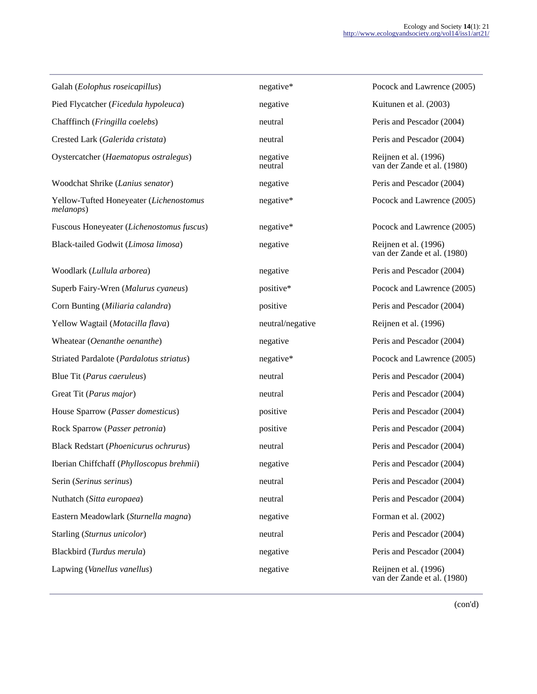Galah (*Eolophus roseicapillus*) negative\* Pocock and Lawrence (2005) Pied Flycatcher (*Ficedula hypoleuca*) negative https://www.file.com/integrative Kuitunen et al. (2003) Chafffinch (*Fringilla coelebs*) neutral Peris and Pescador (2004) Crested Lark (*Galerida cristata*) neutral Peris and Pescador (2004) Oystercatcher (*Haematopus ostralegus*) negative Woodchat Shrike (*Lanius senator*) negative Peris and Pescador (2004) Yellow-Tufted Honeyeater (*Lichenostomus melanops*) Fuscous Honeyeater (*Lichenostomus fuscus*) negative\* Pocock and Lawrence (2005) Black-tailed Godwit (*Limosa limosa*) negative Reijnen et al. (1996) Woodlark (*Lullula arborea*) negative Peris and Pescador (2004) Superb Fairy-Wren (*Malurus cyaneus*) positive\* Pocock and Lawrence (2005) Corn Bunting (*Miliaria calandra*) positive Peris and Pescador (2004) Yellow Wagtail (*Motacilla flava*) neutral/negative Reijnen et al. (1996) Wheatear (*Oenanthe oenanthe*) negative Peris and Pescador (2004) Striated Pardalote (*Pardalotus striatus*) negative\* Pocock and Lawrence (2005) Blue Tit (*Parus caeruleus*) heutral peris and Pescador (2004) neutral Peris and Pescador (2004) Great Tit (*Parus major*) **neutral** Peris and Pescador (2004) House Sparrow (*Passer domesticus*) positive positive Peris and Pescador (2004) Rock Sparrow (*Passer petronia*) positive positive Peris and Pescador (2004) Black Redstart (*Phoenicurus ochrurus*) neutral Peris and Pescador (2004) Iberian Chiffchaff (*Phylloscopus brehmii*) negative Peris and Pescador (2004) Serin (*Serinus serinus*) **neutral** Peris and Pescador (2004) Nuthatch (*Sitta europaea*) neutral Peris and Pescador (2004) Eastern Meadowlark (*Sturnella magna*) negative Forman et al. (2002) Starling (*Sturnus unicolor*) **neutral** Peris and Pescador (2004) Blackbird (*Turdus merula*) negative Peris and Pescador (2004) Lapwing (*Vanellus vanellus*) negative Reijnen et al. (1996)

neutral

Reijnen et al. (1996) van der Zande et al. (1980) negative\* Pocock and Lawrence (2005) van der Zande et al. (1980) van der Zande et al. (1980)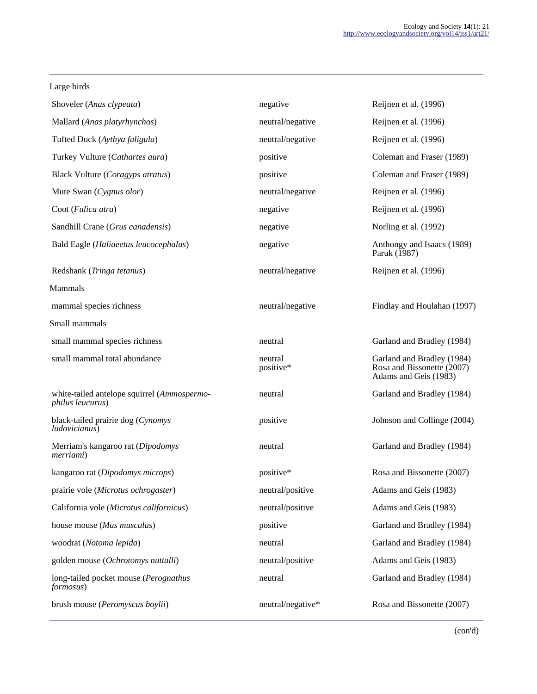#### Large birds

| Shoveler (Anas clypeata)                                                | negative             | Reijnen et al. (1996)                                                             |
|-------------------------------------------------------------------------|----------------------|-----------------------------------------------------------------------------------|
| Mallard (Anas platyrhynchos)                                            | neutral/negative     | Reijnen et al. (1996)                                                             |
| Tufted Duck (Aythya fuligula)                                           | neutral/negative     | Reijnen et al. (1996)                                                             |
| Turkey Vulture (Cathartes aura)                                         | positive             | Coleman and Fraser (1989)                                                         |
| Black Vulture (Coragyps atratus)                                        | positive             | Coleman and Fraser (1989)                                                         |
| Mute Swan (Cygnus olor)                                                 | neutral/negative     | Reijnen et al. (1996)                                                             |
| Coot (Fulica atra)                                                      | negative             | Reijnen et al. (1996)                                                             |
| Sandhill Crane (Grus canadensis)                                        | negative             | Norling et al. (1992)                                                             |
| Bald Eagle (Haliaeetus leucocephalus)                                   | negative             | Anthongy and Isaacs (1989)<br>Paruk (1987)                                        |
| Redshank (Tringa tetanus)                                               | neutral/negative     | Reijnen et al. (1996)                                                             |
| Mammals                                                                 |                      |                                                                                   |
| mammal species richness                                                 | neutral/negative     | Findlay and Houlahan (1997)                                                       |
| Small mammals                                                           |                      |                                                                                   |
| small mammal species richness                                           | neutral              | Garland and Bradley (1984)                                                        |
| small mammal total abundance                                            | neutral<br>positive* | Garland and Bradley (1984)<br>Rosa and Bissonette (2007)<br>Adams and Geis (1983) |
| white-tailed antelope squirrel (Ammospermo-<br><i>philus leucurus</i> ) | neutral              | Garland and Bradley (1984)                                                        |
| black-tailed prairie dog (Cynomys<br>ludovicianus)                      | positive             | Johnson and Collinge (2004)                                                       |
| Merriam's kangaroo rat (Dipodomys<br>merriami)                          | neutral              | Garland and Bradley (1984)                                                        |
| kangaroo rat (Dipodomys microps)                                        | positive*            | Rosa and Bissonette (2007)                                                        |
| prairie vole (Microtus ochrogaster)                                     | neutral/positive     | Adams and Geis (1983)                                                             |
| California vole (Microtus californicus)                                 | neutral/positive     | Adams and Geis (1983)                                                             |
| house mouse (Mus musculus)                                              | positive             | Garland and Bradley (1984)                                                        |
| woodrat (Notoma lepida)                                                 | neutral              | Garland and Bradley (1984)                                                        |
| golden mouse (Ochrotomys nuttalli)                                      | neutral/positive     | Adams and Geis (1983)                                                             |
| long-tailed pocket mouse (Perognathus<br><i>formosus</i> )              | neutral              | Garland and Bradley (1984)                                                        |
|                                                                         |                      |                                                                                   |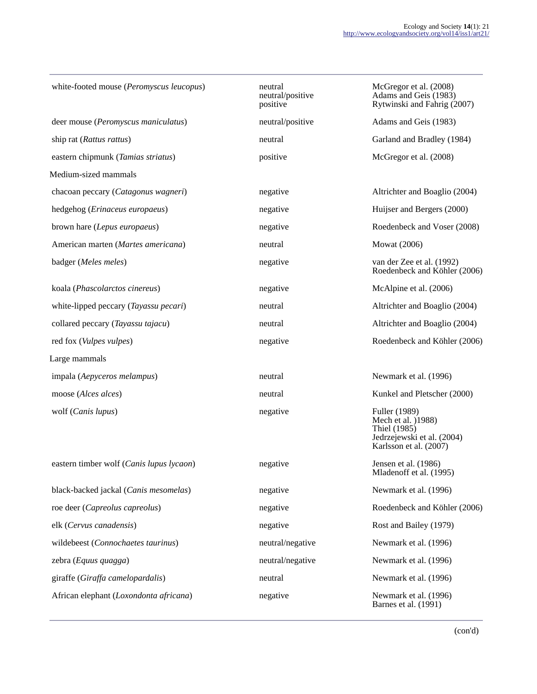| white-footed mouse (Peromyscus leucopus) | neutral<br>neutral/positive<br>positive | McGregor et al. (2008)<br>Adams and Geis (1983)<br>Rytwinski and Fahrig (2007)                              |
|------------------------------------------|-----------------------------------------|-------------------------------------------------------------------------------------------------------------|
| deer mouse (Peromyscus maniculatus)      | neutral/positive                        | Adams and Geis (1983)                                                                                       |
| ship rat (Rattus rattus)                 | neutral                                 | Garland and Bradley (1984)                                                                                  |
| eastern chipmunk (Tamias striatus)       | positive                                | McGregor et al. (2008)                                                                                      |
| Medium-sized mammals                     |                                         |                                                                                                             |
| chacoan peccary (Catagonus wagneri)      | negative                                | Altrichter and Boaglio (2004)                                                                               |
| hedgehog (Erinaceus europaeus)           | negative                                | Huijser and Bergers (2000)                                                                                  |
| brown hare (Lepus europaeus)             | negative                                | Roedenbeck and Voser (2008)                                                                                 |
| American marten (Martes americana)       | neutral                                 | <b>Mowat</b> (2006)                                                                                         |
| badger (Meles meles)                     | negative                                | van der Zee et al. (1992)<br>Roedenbeck and Köhler (2006)                                                   |
| koala (Phascolarctos cinereus)           | negative                                | McAlpine et al. (2006)                                                                                      |
| white-lipped peccary (Tayassu pecari)    | neutral                                 | Altrichter and Boaglio (2004)                                                                               |
| collared peccary (Tayassu tajacu)        | neutral                                 | Altrichter and Boaglio (2004)                                                                               |
| red fox (Vulpes vulpes)                  | negative                                | Roedenbeck and Köhler (2006)                                                                                |
| Large mammals                            |                                         |                                                                                                             |
| impala (Aepyceros melampus)              | neutral                                 | Newmark et al. (1996)                                                                                       |
| moose (Alces alces)                      | neutral                                 | Kunkel and Pletscher (2000)                                                                                 |
| wolf (Canis lupus)                       | negative                                | Fuller (1989)<br>Mech et al. (1988)<br>Thiel (1985)<br>Jedrzejewski et al. (2004)<br>Karlsson et al. (2007) |
| eastern timber wolf (Canis lupus lycaon) | negative                                | Jensen et al. (1986)<br>Mladenoff et al. (1995)                                                             |
| black-backed jackal (Canis mesomelas)    | negative                                | Newmark et al. (1996)                                                                                       |
| roe deer (Capreolus capreolus)           | negative                                | Roedenbeck and Köhler (2006)                                                                                |
| elk (Cervus canadensis)                  | negative                                | Rost and Bailey (1979)                                                                                      |
| wildebeest (Connochaetes taurinus)       | neutral/negative                        | Newmark et al. (1996)                                                                                       |
| zebra (Equus quagga)                     | neutral/negative                        | Newmark et al. (1996)                                                                                       |
| giraffe (Giraffa camelopardalis)         | neutral                                 | Newmark et al. (1996)                                                                                       |
| African elephant (Loxondonta africana)   | negative                                | Newmark et al. (1996)                                                                                       |

Newmark et al. (1996)<br>Barnes et al. (1991)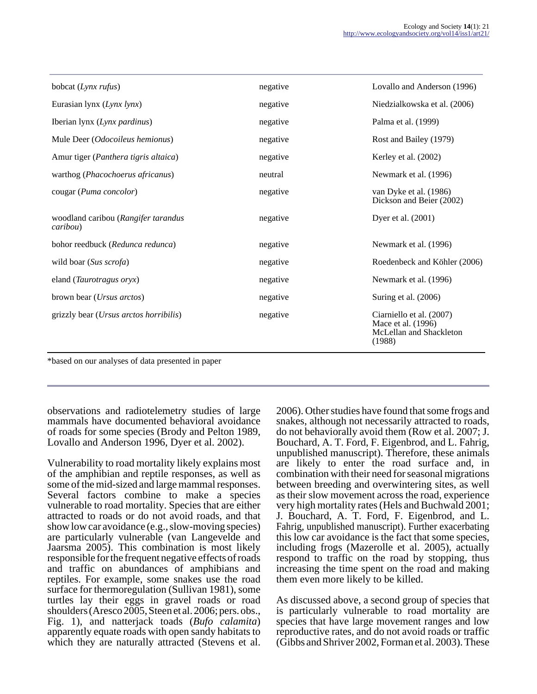| bobcat (Lynx rufus)                             | negative | Lovallo and Anderson (1996)                                                         |
|-------------------------------------------------|----------|-------------------------------------------------------------------------------------|
| Eurasian lynx (Lynx lynx)                       | negative | Niedzialkowska et al. (2006)                                                        |
| Iberian lynx (Lynx pardinus)                    | negative | Palma et al. (1999)                                                                 |
| Mule Deer (Odocoileus hemionus)                 | negative | Rost and Bailey (1979)                                                              |
| Amur tiger (Panthera tigris altaica)            | negative | Kerley et al. (2002)                                                                |
| warthog (Phacochoerus africanus)                | neutral  | Newmark et al. (1996)                                                               |
| cougar (Puma concolor)                          | negative | van Dyke et al. (1986)<br>Dickson and Beier (2002)                                  |
| woodland caribou (Rangifer tarandus<br>caribou) | negative | Dyer et al. (2001)                                                                  |
| bohor reedbuck (Redunca redunca)                | negative | Newmark et al. (1996)                                                               |
| wild boar (Sus scrofa)                          | negative | Roedenbeck and Köhler (2006)                                                        |
| eland (Taurotragus oryx)                        | negative | Newmark et al. (1996)                                                               |
| brown bear ( <i>Ursus arctos</i> )              | negative | Suring et al. (2006)                                                                |
| grizzly bear ( <i>Ursus arctos horribilis</i> ) | negative | Ciarniello et al. (2007)<br>Mace et al. (1996)<br>McLellan and Shackleton<br>(1988) |

\*based on our analyses of data presented in paper

observations and radiotelemetry studies of large mammals have documented behavioral avoidance of roads for some species (Brody and Pelton 1989, Lovallo and Anderson 1996, Dyer et al. 2002).

Vulnerability to road mortality likely explains most of the amphibian and reptile responses, as well as some of the mid-sized and large mammal responses. Several factors combine to make a species vulnerable to road mortality. Species that are either attracted to roads or do not avoid roads, and that show low car avoidance (e.g., slow-moving species) are particularly vulnerable (van Langevelde and Jaarsma 2005). This combination is most likely responsible for the frequent negative effects of roads and traffic on abundances of amphibians and reptiles. For example, some snakes use the road surface for thermoregulation (Sullivan 1981), some turtles lay their eggs in gravel roads or road shoulders (Aresco 2005, Steen et al. 2006; pers. obs., Fig. 1), and natterjack toads (*Bufo calamita*) apparently equate roads with open sandy habitats to which they are naturally attracted (Stevens et al.

2006). Other studies have found that some frogs and snakes, although not necessarily attracted to roads, do not behaviorally avoid them (Row et al. 2007; J. Bouchard, A. T. Ford, F. Eigenbrod, and L. Fahrig, unpublished manuscript). Therefore, these animals are likely to enter the road surface and, in combination with their need for seasonal migrations between breeding and overwintering sites, as well as their slow movement across the road, experience very high mortality rates (Hels and Buchwald 2001; J. Bouchard, A. T. Ford, F. Eigenbrod, and L. Fahrig, unpublished manuscript). Further exacerbating this low car avoidance is the fact that some species, including frogs (Mazerolle et al. 2005), actually respond to traffic on the road by stopping, thus increasing the time spent on the road and making them even more likely to be killed.

As discussed above, a second group of species that is particularly vulnerable to road mortality are species that have large movement ranges and low reproductive rates, and do not avoid roads or traffic (Gibbs and Shriver 2002, Forman et al. 2003). These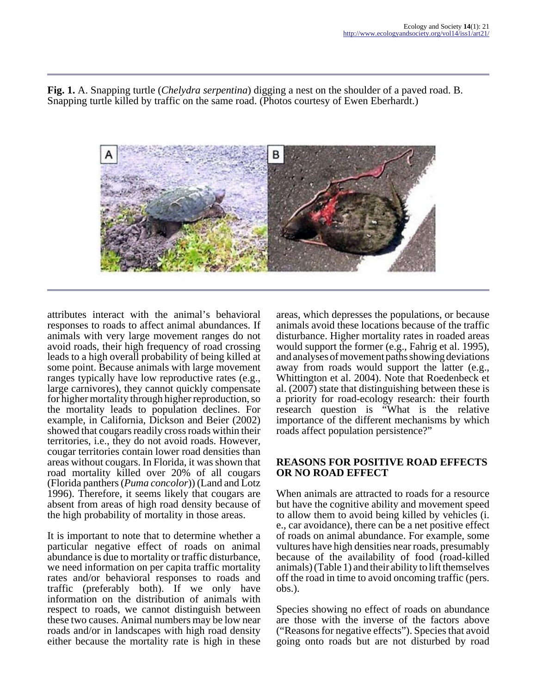**Fig. 1.** A. Snapping turtle (*Chelydra serpentina*) digging a nest on the shoulder of a paved road. B. Snapping turtle killed by traffic on the same road. (Photos courtesy of Ewen Eberhardt.)



attributes interact with the animal's behavioral responses to roads to affect animal abundances. If animals with very large movement ranges do not avoid roads, their high frequency of road crossing leads to a high overall probability of being killed at some point. Because animals with large movement ranges typically have low reproductive rates (e.g., large carnivores), they cannot quickly compensate for higher mortality through higher reproduction, so the mortality leads to population declines. For example, in California, Dickson and Beier (2002) showed that cougars readily cross roads within their territories, i.e., they do not avoid roads. However, cougar territories contain lower road densities than areas without cougars. In Florida, it was shown that road mortality killed over 20% of all cougars (Florida panthers (*Puma concolor*)) (Land and Lotz 1996). Therefore, it seems likely that cougars are absent from areas of high road density because of the high probability of mortality in those areas.

It is important to note that to determine whether a particular negative effect of roads on animal abundance is due to mortality or traffic disturbance, we need information on per capita traffic mortality rates and/or behavioral responses to roads and traffic (preferably both). If we only have information on the distribution of animals with respect to roads, we cannot distinguish between these two causes. Animal numbers may be low near roads and/or in landscapes with high road density either because the mortality rate is high in these

areas, which depresses the populations, or because animals avoid these locations because of the traffic disturbance. Higher mortality rates in roaded areas would support the former (e.g., Fahrig et al. 1995), and analyses of movement paths showing deviations away from roads would support the latter (e.g., Whittington et al. 2004). Note that Roedenbeck et al. (2007) state that distinguishing between these is a priority for road-ecology research: their fourth research question is "What is the relative importance of the different mechanisms by which roads affect population persistence?"

### **REASONS FOR POSITIVE ROAD EFFECTS OR NO ROAD EFFECT**

When animals are attracted to roads for a resource but have the cognitive ability and movement speed to allow them to avoid being killed by vehicles (i. e., car avoidance), there can be a net positive effect of roads on animal abundance. For example, some vultures have high densities near roads, presumably because of the availability of food (road-killed animals) (Table 1) and their ability to lift themselves off the road in time to avoid oncoming traffic (pers. obs.).

Species showing no effect of roads on abundance are those with the inverse of the factors above ("Reasons for negative effects"). Species that avoid going onto roads but are not disturbed by road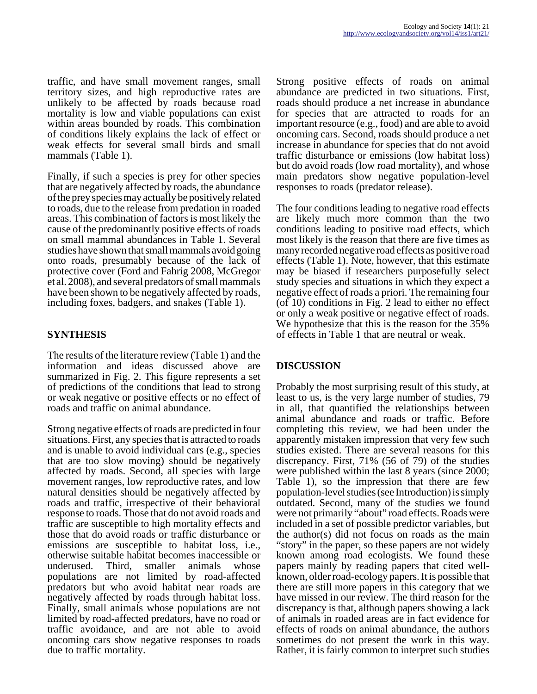traffic, and have small movement ranges, small territory sizes, and high reproductive rates are unlikely to be affected by roads because road mortality is low and viable populations can exist within areas bounded by roads. This combination of conditions likely explains the lack of effect or weak effects for several small birds and small mammals (Table 1).

Finally, if such a species is prey for other species that are negatively affected by roads, the abundance of the prey species may actually be positively related to roads, due to the release from predation in roaded areas. This combination of factors is most likely the cause of the predominantly positive effects of roads on small mammal abundances in Table 1. Several studies have shown that small mammals avoid going onto roads, presumably because of the lack of protective cover (Ford and Fahrig 2008, McGregor et al. 2008), and several predators of small mammals have been shown to be negatively affected by roads, including foxes, badgers, and snakes (Table 1).

# **SYNTHESIS**

The results of the literature review (Table 1) and the information and ideas discussed above are summarized in Fig. 2. This figure represents a set of predictions of the conditions that lead to strong or weak negative or positive effects or no effect of roads and traffic on animal abundance.

Strong negative effects of roads are predicted in four situations. First, any species that is attracted to roads and is unable to avoid individual cars (e.g., species that are too slow moving) should be negatively affected by roads. Second, all species with large movement ranges, low reproductive rates, and low natural densities should be negatively affected by roads and traffic, irrespective of their behavioral response to roads. Those that do not avoid roads and traffic are susceptible to high mortality effects and those that do avoid roads or traffic disturbance or emissions are susceptible to habitat loss, i.e., otherwise suitable habitat becomes inaccessible or underused. Third, smaller animals whose populations are not limited by road-affected predators but who avoid habitat near roads are negatively affected by roads through habitat loss. Finally, small animals whose populations are not limited by road-affected predators, have no road or traffic avoidance, and are not able to avoid oncoming cars show negative responses to roads due to traffic mortality.

Strong positive effects of roads on animal abundance are predicted in two situations. First, roads should produce a net increase in abundance for species that are attracted to roads for an important resource (e.g., food) and are able to avoid oncoming cars. Second, roads should produce a net increase in abundance for species that do not avoid traffic disturbance or emissions (low habitat loss) but do avoid roads (low road mortality), and whose main predators show negative population-level responses to roads (predator release).

The four conditions leading to negative road effects are likely much more common than the two conditions leading to positive road effects, which most likely is the reason that there are five times as many recorded negative road effects as positive road effects (Table 1). Note, however, that this estimate may be biased if researchers purposefully select study species and situations in which they expect a negative effect of roads a priori. The remaining four (of 10) conditions in Fig. 2 lead to either no effect or only a weak positive or negative effect of roads. We hypothesize that this is the reason for the 35% of effects in Table 1 that are neutral or weak.

## **DISCUSSION**

Probably the most surprising result of this study, at least to us, is the very large number of studies, 79 in all, that quantified the relationships between animal abundance and roads or traffic. Before completing this review, we had been under the apparently mistaken impression that very few such studies existed. There are several reasons for this discrepancy. First, 71% (56 of 79) of the studies were published within the last 8 years (since 2000; Table 1), so the impression that there are few population-level studies (see Introduction) is simply outdated. Second, many of the studies we found were not primarily "about" road effects. Roads were included in a set of possible predictor variables, but the author(s) did not focus on roads as the main "story" in the paper, so these papers are not widely known among road ecologists. We found these papers mainly by reading papers that cited wellknown, older road-ecology papers. It is possible that there are still more papers in this category that we have missed in our review. The third reason for the discrepancy is that, although papers showing a lack of animals in roaded areas are in fact evidence for effects of roads on animal abundance, the authors sometimes do not present the work in this way. Rather, it is fairly common to interpret such studies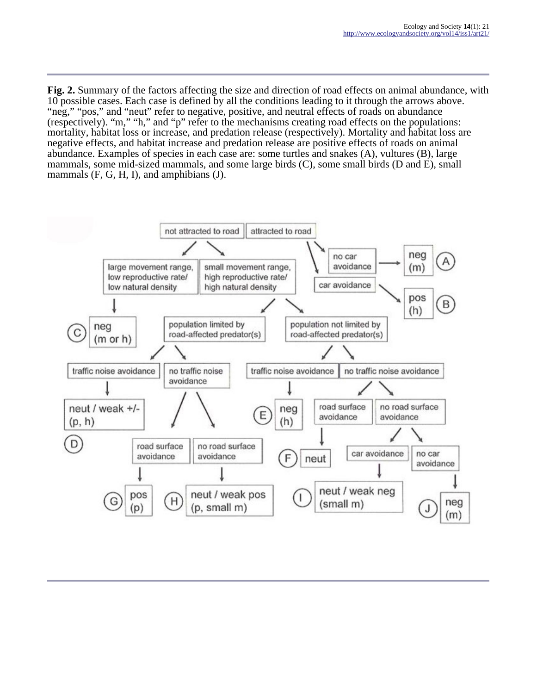**Fig. 2.** Summary of the factors affecting the size and direction of road effects on animal abundance, with 10 possible cases. Each case is defined by all the conditions leading to it through the arrows above. "neg," "pos," and "neut" refer to negative, positive, and neutral effects of roads on abundance (respectively). "m," "h," and "p" refer to the mechanisms creating road effects on the populations: mortality, habitat loss or increase, and predation release (respectively). Mortality and habitat loss are negative effects, and habitat increase and predation release are positive effects of roads on animal abundance. Examples of species in each case are: some turtles and snakes (A), vultures (B), large mammals, some mid-sized mammals, and some large birds (C), some small birds (D and E), small mammals (F, G, H, I), and amphibians (J).

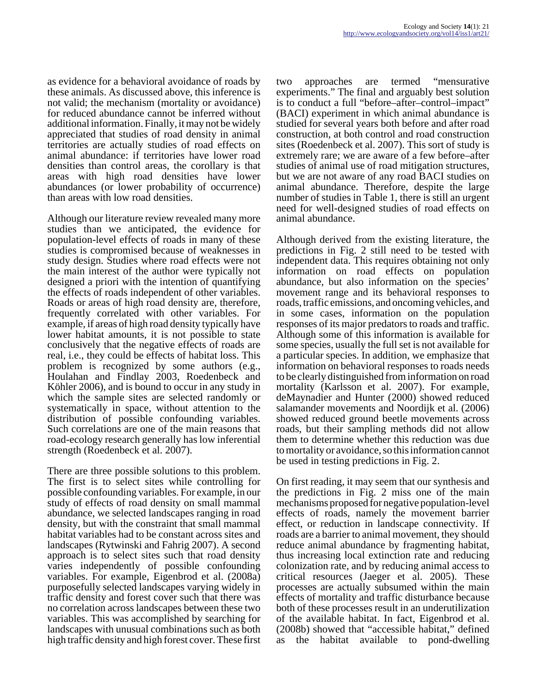as evidence for a behavioral avoidance of roads by these animals. As discussed above, this inference is not valid; the mechanism (mortality or avoidance) for reduced abundance cannot be inferred without additional information. Finally, it may not be widely appreciated that studies of road density in animal territories are actually studies of road effects on animal abundance: if territories have lower road densities than control areas, the corollary is that areas with high road densities have lower abundances (or lower probability of occurrence) than areas with low road densities.

Although our literature review revealed many more studies than we anticipated, the evidence for population-level effects of roads in many of these studies is compromised because of weaknesses in study design. Studies where road effects were not the main interest of the author were typically not designed a priori with the intention of quantifying the effects of roads independent of other variables. Roads or areas of high road density are, therefore, frequently correlated with other variables. For example, if areas of high road density typically have lower habitat amounts, it is not possible to state conclusively that the negative effects of roads are real, i.e., they could be effects of habitat loss. This problem is recognized by some authors (e.g., Houlahan and Findlay 2003, Roedenbeck and Köhler 2006), and is bound to occur in any study in which the sample sites are selected randomly or systematically in space, without attention to the distribution of possible confounding variables. Such correlations are one of the main reasons that road-ecology research generally has low inferential strength (Roedenbeck et al. 2007).

There are three possible solutions to this problem. The first is to select sites while controlling for possible confounding variables. For example, in our study of effects of road density on small mammal abundance, we selected landscapes ranging in road density, but with the constraint that small mammal habitat variables had to be constant across sites and landscapes (Rytwinski and Fahrig 2007). A second approach is to select sites such that road density varies independently of possible confounding variables. For example, Eigenbrod et al. (2008a) purposefully selected landscapes varying widely in traffic density and forest cover such that there was no correlation across landscapes between these two variables. This was accomplished by searching for landscapes with unusual combinations such as both high traffic density and high forest cover. These first

two approaches are termed "mensurative experiments." The final and arguably best solution is to conduct a full "before–after–control–impact" (BACI) experiment in which animal abundance is studied for several years both before and after road construction, at both control and road construction sites (Roedenbeck et al. 2007). This sort of study is extremely rare; we are aware of a few before–after studies of animal use of road mitigation structures, but we are not aware of any road BACI studies on animal abundance. Therefore, despite the large number of studies in Table 1, there is still an urgent need for well-designed studies of road effects on animal abundance.

Although derived from the existing literature, the predictions in Fig. 2 still need to be tested with independent data. This requires obtaining not only information on road effects on population abundance, but also information on the species' movement range and its behavioral responses to roads, traffic emissions, and oncoming vehicles, and in some cases, information on the population responses of its major predators to roads and traffic. Although some of this information is available for some species, usually the full set is not available for a particular species. In addition, we emphasize that information on behavioral responses to roads needs to be clearly distinguished from information on road mortality (Karlsson et al. 2007). For example, deMaynadier and Hunter (2000) showed reduced salamander movements and Noordijk et al. (2006) showed reduced ground beetle movements across roads, but their sampling methods did not allow them to determine whether this reduction was due to mortality or avoidance, so this information cannot be used in testing predictions in Fig. 2.

On first reading, it may seem that our synthesis and the predictions in Fig. 2 miss one of the main mechanisms proposed for negative population-level effects of roads, namely the movement barrier effect, or reduction in landscape connectivity. If roads are a barrier to animal movement, they should reduce animal abundance by fragmenting habitat, thus increasing local extinction rate and reducing colonization rate, and by reducing animal access to critical resources (Jaeger et al. 2005). These processes are actually subsumed within the main effects of mortality and traffic disturbance because both of these processes result in an underutilization of the available habitat. In fact, Eigenbrod et al. (2008b) showed that "accessible habitat," defined as the habitat available to pond-dwelling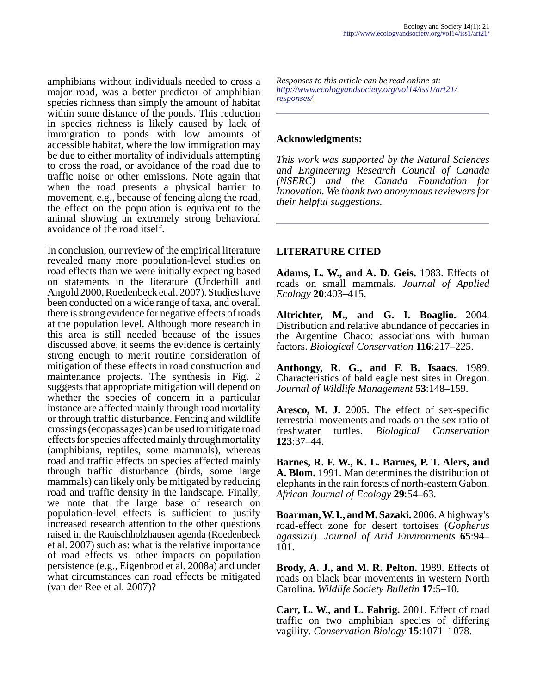amphibians without individuals needed to cross a major road, was a better predictor of amphibian species richness than simply the amount of habitat within some distance of the ponds. This reduction in species richness is likely caused by lack of immigration to ponds with low amounts of accessible habitat, where the low immigration may be due to either mortality of individuals attempting to cross the road, or avoidance of the road due to traffic noise or other emissions. Note again that when the road presents a physical barrier to movement, e.g., because of fencing along the road, the effect on the population is equivalent to the animal showing an extremely strong behavioral avoidance of the road itself.

In conclusion, our review of the empirical literature revealed many more population-level studies on road effects than we were initially expecting based on statements in the literature (Underhill and Angold 2000, Roedenbeck et al. 2007). Studies have been conducted on a wide range of taxa, and overall there is strong evidence for negative effects of roads at the population level. Although more research in this area is still needed because of the issues discussed above, it seems the evidence is certainly strong enough to merit routine consideration of mitigation of these effects in road construction and maintenance projects. The synthesis in Fig. 2 suggests that appropriate mitigation will depend on whether the species of concern in a particular instance are affected mainly through road mortality or through traffic disturbance. Fencing and wildlife crossings (ecopassages) can be used to mitigate road effects for species affected mainly through mortality (amphibians, reptiles, some mammals), whereas road and traffic effects on species affected mainly through traffic disturbance (birds, some large mammals) can likely only be mitigated by reducing road and traffic density in the landscape. Finally, we note that the large base of research on population-level effects is sufficient to justify increased research attention to the other questions raised in the Rauischholzhausen agenda (Roedenbeck et al. 2007) such as: what is the relative importance of road effects vs. other impacts on population persistence (e.g., Eigenbrod et al. 2008a) and under what circumstances can road effects be mitigated (van der Ree et al. 2007)?

*Responses to this article can be read online at: [http://www](http://www.ecologyandsociety.org/vol14/iss1/art21/responses/).ecologyandsociety.org/vol14/iss1/art21/ responses/*

### **Acknowledgments:**

*This work was supported by the Natural Sciences and Engineering Research Council of Canada (NSERC) and the Canada Foundation for Innovation. We thank two anonymous reviewers for their helpful suggestions.*

## **LITERATURE CITED**

**Adams, L. W., and A. D. Geis.** 1983. Effects of roads on small mammals. *Journal of Applied Ecology* **20**:403–415.

**Altrichter, M., and G. I. Boaglio.** 2004. Distribution and relative abundance of peccaries in the Argentine Chaco: associations with human factors. *Biological Conservation* **116**:217–225.

**Anthongy, R. G., and F. B. Isaacs.** 1989. Characteristics of bald eagle nest sites in Oregon. *Journal of Wildlife Management* **53**:148–159.

**Aresco, M. J.** 2005. The effect of sex-specific terrestrial movements and roads on the sex ratio of<br>freshwater turtles. *Biological Conservation*  $Biological$  *Conservation* **123**:37–44.

**Barnes, R. F. W., K. L. Barnes, P. T. Alers, and A. Blom.** 1991. Man determines the distribution of elephants in the rain forests of north-eastern Gabon. *African Journal of Ecology* **29**:54–63.

**Boarman, W. I., and M. Sazaki.** 2006. A highway's road-effect zone for desert tortoises (*Gopherus agassizii*). *Journal of Arid Environments* **65**:94– 101.

**Brody, A. J., and M. R. Pelton.** 1989. Effects of roads on black bear movements in western North Carolina. *Wildlife Society Bulletin* **17**:5–10.

**Carr, L. W., and L. Fahrig.** 2001. Effect of road traffic on two amphibian species of differing vagility. *Conservation Biology* **15**:1071–1078.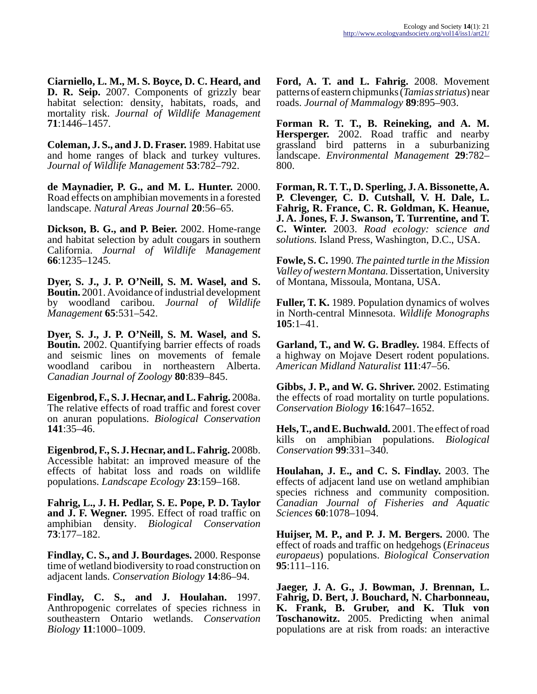**Ciarniello, L. M., M. S. Boyce, D. C. Heard, and D. R. Seip.** 2007. Components of grizzly bear habitat selection: density, habitats, roads, and mortality risk. *Journal of Wildlife Management* **71**:1446–1457.

**Coleman, J. S., and J. D. Fraser.** 1989. Habitat use and home ranges of black and turkey vultures. *Journal of Wildlife Management* **53**:782–792.

**de Maynadier, P. G., and M. L. Hunter.** 2000. Road effects on amphibian movements in a forested landscape. *Natural Areas Journal* **20**:56–65.

**Dickson, B. G., and P. Beier.** 2002. Home-range and habitat selection by adult cougars in southern California. *Journal of Wildlife Management* **66**:1235–1245.

**Dyer, S. J., J. P. O'Neill, S. M. Wasel, and S. Boutin.** 2001. Avoidance of industrial development by woodland caribou. *Journal of Wildlife Management* **65**:531–542.

**Dyer, S. J., J. P. O'Neill, S. M. Wasel, and S. Boutin.** 2002. Quantifying barrier effects of roads and seismic lines on movements of female woodland caribou in northeastern Alberta. *Canadian Journal of Zoology* **80**:839–845.

**Eigenbrod, F., S. J. Hecnar, and L. Fahrig.** 2008a. The relative effects of road traffic and forest cover on anuran populations. *Biological Conservation* **141**:35–46.

**Eigenbrod, F., S. J. Hecnar, and L. Fahrig.** 2008b. Accessible habitat: an improved measure of the effects of habitat loss and roads on wildlife populations. *Landscape Ecology* **23**:159–168.

**Fahrig, L., J. H. Pedlar, S. E. Pope, P. D. Taylor and J. F. Wegner.** 1995. Effect of road traffic on amphibian density. *Biological Conservation* **73**:177–182.

**Findlay, C. S., and J. Bourdages.** 2000. Response time of wetland biodiversity to road construction on adjacent lands. *Conservation Biology* **14**:86–94.

**Findlay, C. S., and J. Houlahan.** 1997. Anthropogenic correlates of species richness in southeastern Ontario wetlands. *Conservation Biology* **11**:1000–1009.

**Ford, A. T. and L. Fahrig.** 2008. Movement patterns of eastern chipmunks (*Tamias striatus*) near roads. *Journal of Mammalogy* **89**:895–903.

**Forman R. T. T., B. Reineking, and A. M. Hersperger.** 2002. Road traffic and nearby grassland bird patterns in a suburbanizing landscape. *Environmental Management* **29**:782– 800.

**Forman, R. T. T., D. Sperling, J. A. Bissonette, A. P. Clevenger, C. D. Cutshall, V. H. Dale, L. Fahrig, R. France, C. R. Goldman, K. Heanue, J. A. Jones, F. J. Swanson, T. Turrentine, and T. C. Winter.** 2003. *Road ecology: science and solutions.* Island Press, Washington, D.C., USA.

**Fowle, S. C.** 1990. *The painted turtle in the Mission Valley of western Montana.* Dissertation, University of Montana, Missoula, Montana, USA.

**Fuller, T. K.** 1989. Population dynamics of wolves in North-central Minnesota. *Wildlife Monographs* **105**:1–41.

**Garland, T., and W. G. Bradley.** 1984. Effects of a highway on Mojave Desert rodent populations. *American Midland Naturalist* **111**:47–56.

**Gibbs, J. P., and W. G. Shriver.** 2002. Estimating the effects of road mortality on turtle populations. *Conservation Biology* **16**:1647–1652.

**Hels, T., and E. Buchwald.** 2001. The effect of road kills on amphibian populations. *Biological Conservation* **99**:331–340.

**Houlahan, J. E., and C. S. Findlay.** 2003. The effects of adjacent land use on wetland amphibian species richness and community composition. *Canadian Journal of Fisheries and Aquatic Sciences* **60**:1078–1094.

**Huijser, M. P., and P. J. M. Bergers.** 2000. The effect of roads and traffic on hedgehogs (*Erinaceus europaeus*) populations. *Biological Conservation* **95**:111–116.

**Jaeger, J. A. G., J. Bowman, J. Brennan, L. Fahrig, D. Bert, J. Bouchard, N. Charbonneau, K. Frank, B. Gruber, and K. Tluk von Toschanowitz.** 2005. Predicting when animal populations are at risk from roads: an interactive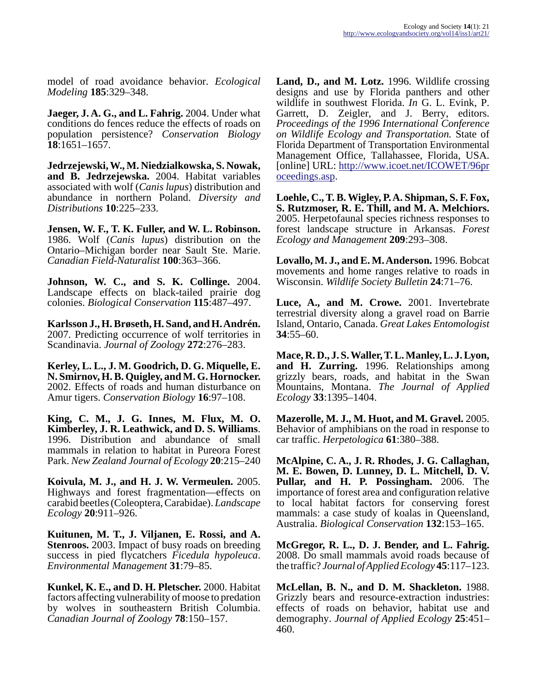model of road avoidance behavior. *Ecological Modeling* **185**:329–348.

**Jaeger, J. A. G., and L. Fahrig.** 2004. Under what conditions do fences reduce the effects of roads on population persistence? *Conservation Biology* **18**:1651–1657.

**Jedrzejewski, W., M. Niedzialkowska, S. Nowak, and B. Jedrzejewska.** 2004. Habitat variables associated with wolf (*Canis lupus*) distribution and abundance in northern Poland. *Diversity and Distributions* **10**:225–233.

**Jensen, W. F., T. K. Fuller, and W. L. Robinson.** 1986. Wolf (*Canis lupus*) distribution on the Ontario–Michigan border near Sault Ste. Marie. *Canadian Field-Naturalist* **100**:363–366.

**Johnson, W. C., and S. K. Collinge.** 2004. Landscape effects on black-tailed prairie dog colonies. *Biological Conservation* **115**:487–497.

**Karlsson J., H. Brøseth, H. Sand, and H. Andrén.** 2007. Predicting occurrence of wolf territories in Scandinavia. *Journal of Zoology* **272**:276–283.

**Kerley, L. L., J. M. Goodrich, D. G. Miquelle, E. N. Smirnov, H. B. Quigley, and M. G. Hornocker.** 2002. Effects of roads and human disturbance on Amur tigers. *Conservation Biology* **16**:97–108.

**King, C. M., J. G. Innes, M. Flux, M. O. Kimberley, J. R. Leathwick, and D. S. Williams**. 1996. Distribution and abundance of small mammals in relation to habitat in Pureora Forest Park. *New Zealand Journal of Ecology* **20**:215–240

**Koivula, M. J., and H. J. W. Vermeulen.** 2005. Highways and forest fragmentation—effects on carabid beetles (Coleoptera, Carabidae). *Landscape Ecology* **20**:911–926.

**Kuitunen, M. T., J. Viljanen, E. Rossi, and A. Stenroos.** 2003. Impact of busy roads on breeding success in pied flycatchers *Ficedula hypoleuca*. *Environmental Management* **31**:79–85.

**Kunkel, K. E., and D. H. Pletscher.** 2000. Habitat factors affecting vulnerability of moose to predation by wolves in southeastern British Columbia. *Canadian Journal of Zoology* **78**:150–157.

**Land, D., and M. Lotz.** 1996. Wildlife crossing designs and use by Florida panthers and other wildlife in southwest Florida. *In* G. L. Evink, P. Garrett, D. Zeigler, and J. Berry, editors. *Proceedings of the 1996 International Conference on Wildlife Ecology and Transportation.* State of Florida Department of Transportation Environmental Management Office, Tallahassee, Florida, USA. [online] URL: [http://www.icoet.net/ICOWET/96pr](http://www.icoet.net/ICOWET/96proceedings.asp) [oceedings.asp.](http://www.icoet.net/ICOWET/96proceedings.asp)

**Loehle, C., T. B. Wigley, P. A. Shipman, S. F. Fox, S. Rutzmoser, R. E. Thill, and M. A. Melchiors.** 2005. Herpetofaunal species richness responses to forest landscape structure in Arkansas. *Forest Ecology and Management* **209**:293–308.

**Lovallo, M. J., and E. M. Anderson.** 1996. Bobcat movements and home ranges relative to roads in Wisconsin. *Wildlife Society Bulletin* **24**:71–76.

**Luce, A., and M. Crowe.** 2001. Invertebrate terrestrial diversity along a gravel road on Barrie Island, Ontario, Canada. *Great Lakes Entomologist* **34**:55–60.

**Mace, R. D., J. S. Waller, T. L. Manley, L. J. Lyon, and H. Zurring.** 1996. Relationships among grizzly bears, roads, and habitat in the Swan Mountains, Montana. *The Journal of Applied Ecology* **33**:1395–1404.

**Mazerolle, M. J., M. Huot, and M. Gravel.** 2005. Behavior of amphibians on the road in response to car traffic. *Herpetologica* **61**:380–388.

**McAlpine, C. A., J. R. Rhodes, J. G. Callaghan, M. E. Bowen, D. Lunney, D. L. Mitchell, D. V. Pullar, and H. P. Possingham.** 2006. The importance of forest area and configuration relative to local habitat factors for conserving forest mammals: a case study of koalas in Queensland, Australia. *Biological Conservation* **132**:153–165.

**McGregor, R. L., D. J. Bender, and L. Fahrig.** 2008. Do small mammals avoid roads because of the traffic? *Journal of Applied Ecology* **45**:117–123.

**McLellan, B. N., and D. M. Shackleton.** 1988. Grizzly bears and resource-extraction industries: effects of roads on behavior, habitat use and demography. *Journal of Applied Ecology* **25**:451– 460.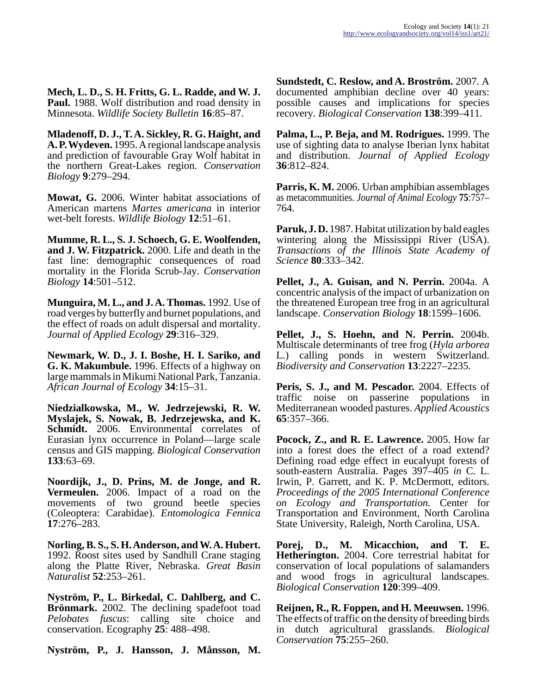**Mech, L. D., S. H. Fritts, G. L. Radde, and W. J. Paul.** 1988. Wolf distribution and road density in Minnesota. *Wildlife Society Bulletin* **16**:85–87.

**Mladenoff, D. J., T. A. Sickley, R. G. Haight, and A. P. Wydeven.** 1995. A regional landscape analysis and prediction of favourable Gray Wolf habitat in the northern Great-Lakes region. *Conservation Biology* **9**:279–294.

**Mowat, G.** 2006. Winter habitat associations of American martens *Martes americana* in interior wet-belt forests. *Wildlife Biology* **12**:51–61.

**Mumme, R. L., S. J. Schoech, G. E. Woolfenden, and J. W. Fitzpatrick.** 2000. Life and death in the fast line: demographic consequences of road mortality in the Florida Scrub-Jay. *Conservation Biology* **14**:501–512.

**Munguira, M. L., and J. A. Thomas.** 1992. Use of road verges by butterfly and burnet populations, and the effect of roads on adult dispersal and mortality. *Journal of Applied Ecology* **29**:316–329.

**Newmark, W. D., J. I. Boshe, H. I. Sariko, and G. K. Makumbule.** 1996. Effects of a highway on large mammals in Mikumi National Park, Tanzania. *African Journal of Ecology* **34**:15–31.

**Niedzialkowska, M., W. Jedrzejewski, R. W. Myslajek, S. Nowak, B. Jedrzejewska, and K. Schmidt.** 2006. Environmental correlates of Eurasian lynx occurrence in Poland—large scale census and GIS mapping. *Biological Conservation* **133**:63–69.

**Noordijk, J., D. Prins, M. de Jonge, and R. Vermeulen.** 2006. Impact of a road on the movements of two ground beetle species (Coleoptera: Carabidae). *Entomologica Fennica* **17**:276–283.

**Norling, B. S., S. H. Anderson, and W. A. Hubert.** 1992. Roost sites used by Sandhill Crane staging along the Platte River, Nebraska. *Great Basin Naturalist* **52**:253–261.

**Nyström, P., L. Birkedal, C. Dahlberg, and C. Brönmark.** 2002. The declining spadefoot toad *Pelobates fuscus*: calling site choice and conservation. Ecography **25**: 488–498.

**Nyström, P., J. Hansson, J. Månsson, M.**

**Sundstedt, C. Reslow, and A. Broström.** 2007. A documented amphibian decline over 40 years: possible causes and implications for species recovery. *Biological Conservation* **138**:399–411.

**Palma, L., P. Beja, and M. Rodrigues.** 1999. The use of sighting data to analyse Iberian lynx habitat and distribution. *Journal of Applied Ecology* **36**:812–824.

**Parris, K. M.** 2006. Urban amphibian assemblages as metacommunities. *Journal of Animal Ecology* **75**:757– 764.

**Paruk, J. D.** 1987. Habitat utilization by bald eagles wintering along the Mississippi River (USA). *Transactions of the Illinois State Academy of Science* **80**:333–342.

**Pellet, J., A. Guisan, and N. Perrin.** 2004a. A concentric analysis of the impact of urbanization on the threatened European tree frog in an agricultural landscape. *Conservation Biology* **18**:1599–1606.

**Pellet, J., S. Hoehn, and N. Perrin.** 2004b. Multiscale determinants of tree frog (*Hyla arborea* L.) calling ponds in western Switzerland. *Biodiversity and Conservation* **13**:2227–2235.

**Peris, S. J., and M. Pescador.** 2004. Effects of traffic noise on passerine populations in Mediterranean wooded pastures. *Applied Acoustics* **65**:357–366.

**Pocock, Z., and R. E. Lawrence.** 2005. How far into a forest does the effect of a road extend? Defining road edge effect in eucalyupt forests of south-eastern Australia. Pages 397–405 *in* C. L. Irwin, P. Garrett, and K. P. McDermott, editors. *Proceedings of the 2005 International Conference on Ecology and Transportation.* Center for Transportation and Environment, North Carolina State University, Raleigh, North Carolina, USA.

**Porej, D., M. Micacchion, and T. E. Hetherington.** 2004. Core terrestrial habitat for conservation of local populations of salamanders and wood frogs in agricultural landscapes. *Biological Conservation* **120**:399–409.

**Reijnen, R., R. Foppen, and H. Meeuwsen.** 1996. The effects of traffic on the density of breeding birds in dutch agricultural grasslands. *Biological Conservation* **75**:255–260.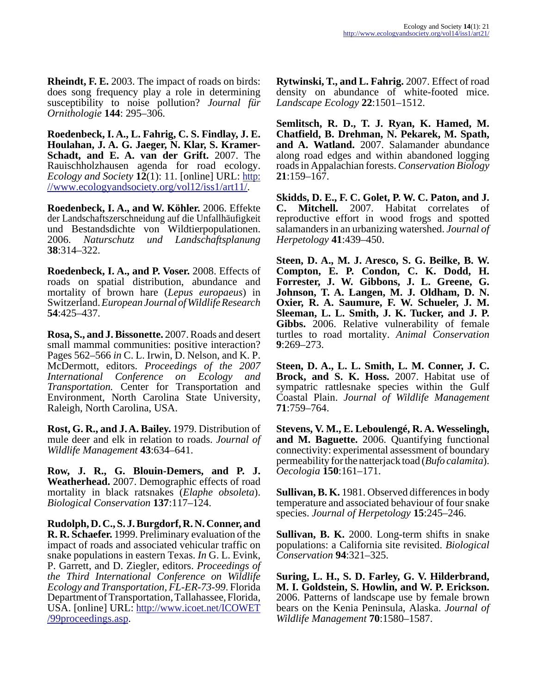**Rheindt, F. E.** 2003. The impact of roads on birds: does song frequency play a role in determining susceptibility to noise pollution? *Journal für Ornithologie* **144**: 295–306.

**Roedenbeck, I. A., L. Fahrig, C. S. Findlay, J. E. Houlahan, J. A. G. Jaeger, N. Klar, S. Kramer-Schadt, and E. A. van der Grift.** 2007. The Rauischholzhausen agenda for road ecology. *Ecology and Society* **12**(1): 11. [online] URL: [http:](http://www.ecologyandsociety.org/vol12/iss1/art11/) [//www.ecologyandsociety.org/vol12/iss1/art11/.](http://www.ecologyandsociety.org/vol12/iss1/art11/)

**Roedenbeck, I. A., and W. Köhler.** 2006. Effekte der Landschaftszerschneidung auf die Unfallhäufigkeit und Bestandsdichte von Wildtierpopulationen.<br>2006. Naturschutz und Landschaftsplanung 2006. *Naturschutz und Landschaftsplanung* **38**:314–322.

**Roedenbeck, I. A., and P. Voser.** 2008. Effects of roads on spatial distribution, abundance and mortality of brown hare (*Lepus europaeus*) in Switzerland. *European Journal of Wildlife Research* **54**:425–437.

**Rosa, S., and J. Bissonette.** 2007. Roads and desert small mammal communities: positive interaction? Pages 562–566 *in* C. L. Irwin, D. Nelson, and K. P. McDermott, editors. *Proceedings of the 2007 International Conference on Ecology and Transportation.* Center for Transportation and Environment, North Carolina State University, Raleigh, North Carolina, USA.

**Rost, G. R., and J. A. Bailey.** 1979. Distribution of mule deer and elk in relation to roads. *Journal of Wildlife Management* **43**:634–641.

**Row, J. R., G. Blouin-Demers, and P. J. Weatherhead.** 2007. Demographic effects of road mortality in black ratsnakes (*Elaphe obsoleta*). *Biological Conservation* **137**:117–124.

**Rudolph, D. C., S. J. Burgdorf, R. N. Conner, and R. R. Schaefer.** 1999. Preliminary evaluation of the impact of roads and associated vehicular traffic on snake populations in eastern Texas. *In* G. L. Evink, P. Garrett, and D. Ziegler, editors. *Proceedings of the Third International Conference on Wildlife Ecology and Transportation, FL-ER-73-99*. Florida Department of Transportation, Tallahassee, Florida, USA. [online] URL: [http://www.icoet.net/ICOWET](http://www.icoet.net/ICOWET/99proceedings.asp) [/99proceedings.asp](http://www.icoet.net/ICOWET/99proceedings.asp).

**Rytwinski, T., and L. Fahrig.** 2007. Effect of road density on abundance of white-footed mice. *Landscape Ecology* **22**:1501–1512.

**Semlitsch, R. D., T. J. Ryan, K. Hamed, M. Chatfield, B. Drehman, N. Pekarek, M. Spath, and A. Watland.** 2007. Salamander abundance along road edges and within abandoned logging roads in Appalachian forests. *Conservation Biology* **21**:159–167.

**Skidds, D. E., F. C. Golet, P. W. C. Paton, and J. C. Mitchell.** 2007. Habitat correlates of reproductive effort in wood frogs and spotted salamanders in an urbanizing watershed. *Journal of Herpetology* **41**:439–450.

**Steen, D. A., M. J. Aresco, S. G. Beilke, B. W. Compton, E. P. Condon, C. K. Dodd, H. Forrester, J. W. Gibbons, J. L. Greene, G. Johnson, T. A. Langen, M. J. Oldham, D. N. Oxier, R. A. Saumure, F. W. Schueler, J. M. Sleeman, L. L. Smith, J. K. Tucker, and J. P. Gibbs.** 2006. Relative vulnerability of female turtles to road mortality. *Animal Conservation* **9**:269–273.

**Steen, D. A., L. L. Smith, L. M. Conner, J. C. Brock, and S. K. Hoss.** 2007. Habitat use of sympatric rattlesnake species within the Gulf Coastal Plain. *Journal of Wildlife Management* **71**:759–764.

**Stevens, V. M., E. Leboulengé, R. A. Wesselingh, and M. Baguette.** 2006. Quantifying functional connectivity: experimental assessment of boundary permeability for the natterjack toad (*Bufo calamita*). *Oecologia* **150**:161–171.

**Sullivan, B. K.** 1981. Observed differences in body temperature and associated behaviour of four snake species. *Journal of Herpetology* **15**:245–246.

**Sullivan, B. K.** 2000. Long-term shifts in snake populations: a California site revisited. *Biological Conservation* **94**:321–325.

**Suring, L. H., S. D. Farley, G. V. Hilderbrand, M. I. Goldstein, S. Howlin, and W. P. Erickson.** 2006. Patterns of landscape use by female brown bears on the Kenia Peninsula, Alaska. *Journal of Wildlife Management* **70**:1580–1587.